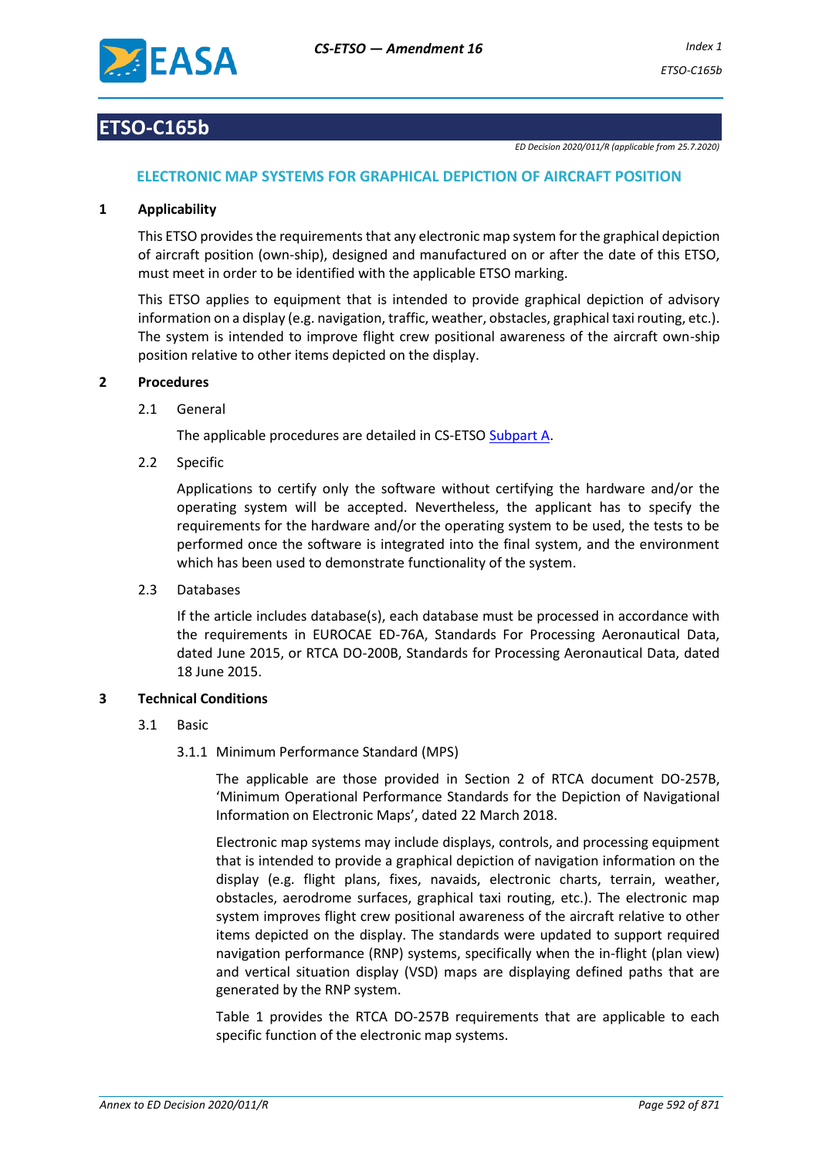

# **ETSO-C165b**

*ED Decision 2020/011/R (applicable from 25.7.2020)*

## **ELECTRONIC MAP SYSTEMS FOR GRAPHICAL DEPICTION OF AIRCRAFT POSITION**

### **1 Applicability**

This ETSO provides the requirements that any electronic map system for the graphical depiction of aircraft position (own-ship), designed and manufactured on or after the date of this ETSO, must meet in order to be identified with the applicable ETSO marking.

This ETSO applies to equipment that is intended to provide graphical depiction of advisory information on a display (e.g. navigation, traffic, weather, obstacles, graphical taxi routing, etc.). The system is intended to improve flight crew positional awareness of the aircraft own-ship position relative to other items depicted on the display.

#### **2 Procedures**

#### 2.1 General

The applicable procedures are detailed in CS-ETSO Subpart A.

2.2 Specific

Applications to certify only the software without certifying the hardware and/or the operating system will be accepted. Nevertheless, the applicant has to specify the requirements for the hardware and/or the operating system to be used, the tests to be performed once the software is integrated into the final system, and the environment which has been used to demonstrate functionality of the system.

#### 2.3 Databases

If the article includes database(s), each database must be processed in accordance with the requirements in EUROCAE ED-76A, Standards For Processing Aeronautical Data, dated June 2015, or RTCA DO-200B, Standards for Processing Aeronautical Data, dated 18 June 2015.

## **3 Technical Conditions**

## 3.1 Basic

3.1.1 Minimum Performance Standard (MPS)

The applicable are those provided in Section 2 of RTCA document DO-257B, 'Minimum Operational Performance Standards for the Depiction of Navigational Information on Electronic Maps', dated 22 March 2018.

Electronic map systems may include displays, controls, and processing equipment that is intended to provide a graphical depiction of navigation information on the display (e.g. flight plans, fixes, navaids, electronic charts, terrain, weather, obstacles, aerodrome surfaces, graphical taxi routing, etc.). The electronic map system improves flight crew positional awareness of the aircraft relative to other items depicted on the display. The standards were updated to support required navigation performance (RNP) systems, specifically when the in-flight (plan view) and vertical situation display (VSD) maps are displaying defined paths that are generated by the RNP system.

Table 1 provides the RTCA DO-257B requirements that are applicable to each specific function of the electronic map systems.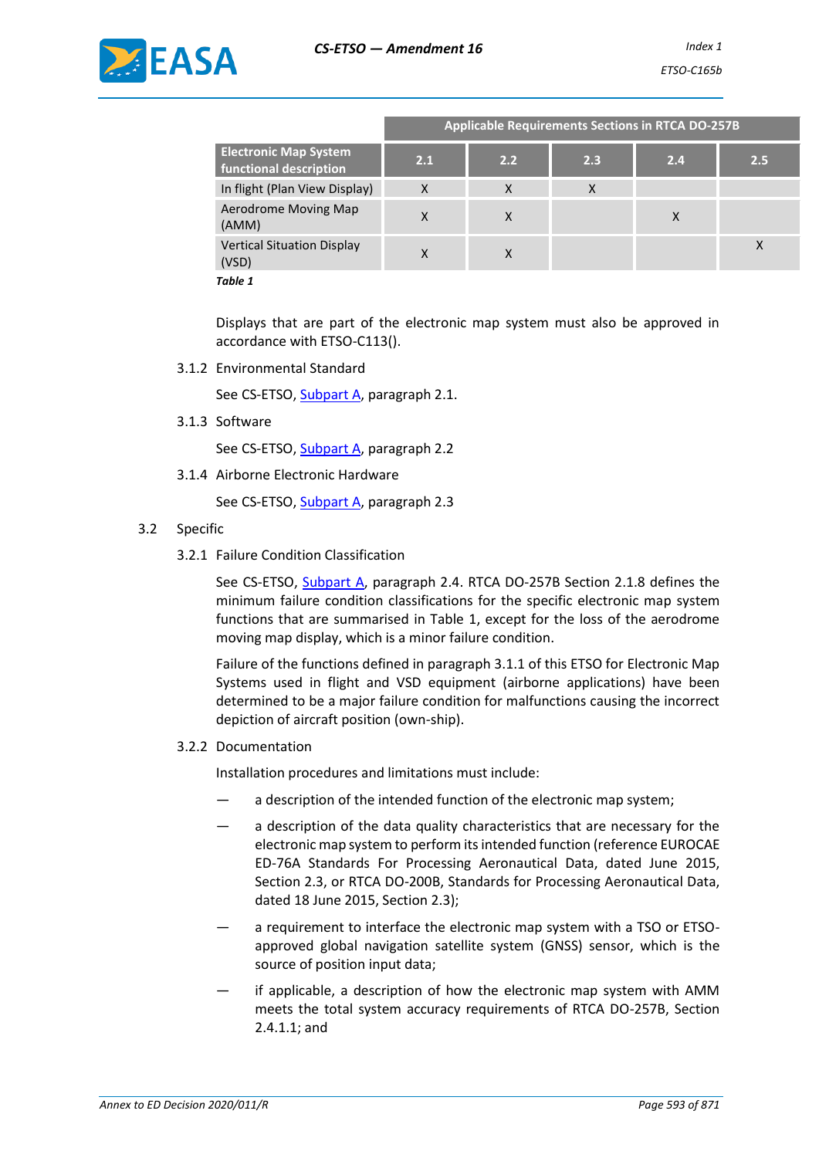

|                                                        | <b>Applicable Requirements Sections in RTCA DO-257B</b> |     |     |     |     |
|--------------------------------------------------------|---------------------------------------------------------|-----|-----|-----|-----|
| <b>Electronic Map System</b><br>functional description | 2.1                                                     | 2.2 | 2.3 | 2.4 | 2.5 |
| In flight (Plan View Display)                          | X                                                       | X   | X   |     |     |
| Aerodrome Moving Map<br>(AMM)                          | Χ                                                       | X   |     | X   |     |
| <b>Vertical Situation Display</b><br>(VSD)             | x                                                       |     |     |     | X   |
| Table 1                                                |                                                         |     |     |     |     |

Displays that are part of the electronic map system must also be approved in accordance with ETSO-C113().

3.1.2 Environmental Standard

See CS-ETSO, Subpart A, paragraph 2.1.

3.1.3 Software

See CS-ETSO, Subpart A, paragraph 2.2

3.1.4 Airborne Electronic Hardware

See CS-ETSO, Subpart A, paragraph 2.3

- 3.2 Specific
	- 3.2.1 Failure Condition Classification

See CS-ETSO, Subpart A, paragraph 2.4. RTCA DO-257B Section 2.1.8 defines the minimum failure condition classifications for the specific electronic map system functions that are summarised in Table 1, except for the loss of the aerodrome moving map display, which is a minor failure condition.

Failure of the functions defined in paragraph 3.1.1 of this ETSO for Electronic Map Systems used in flight and VSD equipment (airborne applications) have been determined to be a major failure condition for malfunctions causing the incorrect depiction of aircraft position (own-ship).

3.2.2 Documentation

Installation procedures and limitations must include:

- a description of the intended function of the electronic map system;
- a description of the data quality characteristics that are necessary for the electronic map system to perform its intended function (reference EUROCAE ED-76A Standards For Processing Aeronautical Data, dated June 2015, Section 2.3, or RTCA DO-200B, Standards for Processing Aeronautical Data, dated 18 June 2015, Section 2.3);
- a requirement to interface the electronic map system with a TSO or ETSOapproved global navigation satellite system (GNSS) sensor, which is the source of position input data;
- if applicable, a description of how the electronic map system with AMM meets the total system accuracy requirements of RTCA DO-257B, Section 2.4.1.1; and